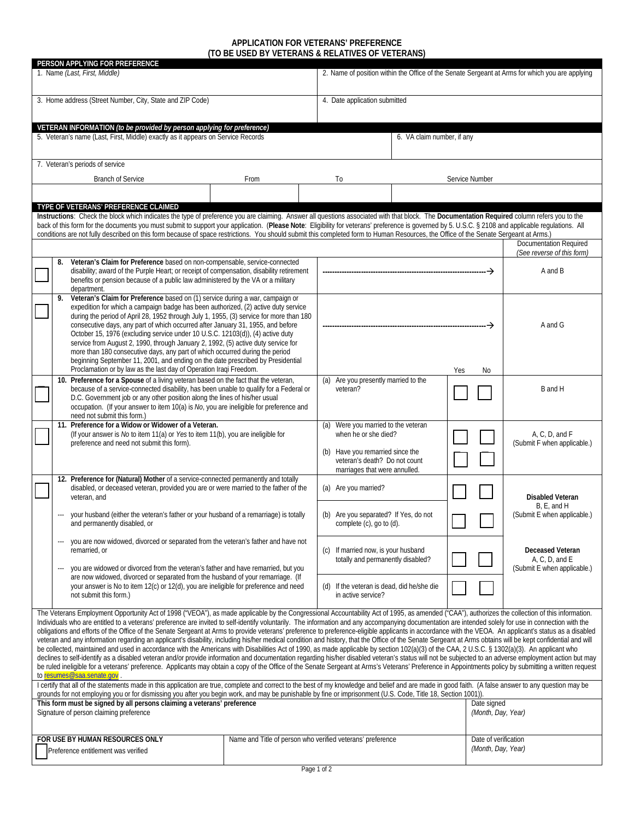## **APPLICATION FOR VETERANS' PREFERENCE (TO BE USED BY VETERANS & RELATIVES OF VETERANS)**

| PERSON APPLYING FOR PREFERENCE<br>1. Name (Last, First, Middle)                                                                                                                                                                                                                                                                                                                                                                                                                                                                                                                                                                                                                                                                                                                                                                                                                                                                                                                                                                                                                                                                                                                                                                                                                                                                                                                                                                                                                         |                                                                                                                                                                                                                                                                                                                                                                                                                                                                                                                                                                                                                                                                                                                                                                   |                                                                                                                                                                            | 2. Name of position within the Office of the Senate Sergeant at Arms for which you are applying                                                                   |                                            |  |                                            |                                                                   |  |  |  |
|-----------------------------------------------------------------------------------------------------------------------------------------------------------------------------------------------------------------------------------------------------------------------------------------------------------------------------------------------------------------------------------------------------------------------------------------------------------------------------------------------------------------------------------------------------------------------------------------------------------------------------------------------------------------------------------------------------------------------------------------------------------------------------------------------------------------------------------------------------------------------------------------------------------------------------------------------------------------------------------------------------------------------------------------------------------------------------------------------------------------------------------------------------------------------------------------------------------------------------------------------------------------------------------------------------------------------------------------------------------------------------------------------------------------------------------------------------------------------------------------|-------------------------------------------------------------------------------------------------------------------------------------------------------------------------------------------------------------------------------------------------------------------------------------------------------------------------------------------------------------------------------------------------------------------------------------------------------------------------------------------------------------------------------------------------------------------------------------------------------------------------------------------------------------------------------------------------------------------------------------------------------------------|----------------------------------------------------------------------------------------------------------------------------------------------------------------------------|-------------------------------------------------------------------------------------------------------------------------------------------------------------------|--------------------------------------------|--|--------------------------------------------|-------------------------------------------------------------------|--|--|--|
| 3. Home address (Street Number, City, State and ZIP Code)                                                                                                                                                                                                                                                                                                                                                                                                                                                                                                                                                                                                                                                                                                                                                                                                                                                                                                                                                                                                                                                                                                                                                                                                                                                                                                                                                                                                                               |                                                                                                                                                                                                                                                                                                                                                                                                                                                                                                                                                                                                                                                                                                                                                                   |                                                                                                                                                                            | 4. Date application submitted                                                                                                                                     |                                            |  |                                            |                                                                   |  |  |  |
|                                                                                                                                                                                                                                                                                                                                                                                                                                                                                                                                                                                                                                                                                                                                                                                                                                                                                                                                                                                                                                                                                                                                                                                                                                                                                                                                                                                                                                                                                         | VETERAN INFORMATION (to be provided by person applying for preference)<br>5. Veteran's name (Last, First, Middle) exactly as it appears on Service Records                                                                                                                                                                                                                                                                                                                                                                                                                                                                                                                                                                                                        |                                                                                                                                                                            | 6. VA claim number, if any                                                                                                                                        |                                            |  |                                            |                                                                   |  |  |  |
|                                                                                                                                                                                                                                                                                                                                                                                                                                                                                                                                                                                                                                                                                                                                                                                                                                                                                                                                                                                                                                                                                                                                                                                                                                                                                                                                                                                                                                                                                         | 7. Veteran's periods of service                                                                                                                                                                                                                                                                                                                                                                                                                                                                                                                                                                                                                                                                                                                                   |                                                                                                                                                                            |                                                                                                                                                                   |                                            |  |                                            |                                                                   |  |  |  |
|                                                                                                                                                                                                                                                                                                                                                                                                                                                                                                                                                                                                                                                                                                                                                                                                                                                                                                                                                                                                                                                                                                                                                                                                                                                                                                                                                                                                                                                                                         | <b>Branch of Service</b>                                                                                                                                                                                                                                                                                                                                                                                                                                                                                                                                                                                                                                                                                                                                          | To<br>Service Number                                                                                                                                                       |                                                                                                                                                                   |                                            |  |                                            |                                                                   |  |  |  |
|                                                                                                                                                                                                                                                                                                                                                                                                                                                                                                                                                                                                                                                                                                                                                                                                                                                                                                                                                                                                                                                                                                                                                                                                                                                                                                                                                                                                                                                                                         |                                                                                                                                                                                                                                                                                                                                                                                                                                                                                                                                                                                                                                                                                                                                                                   |                                                                                                                                                                            |                                                                                                                                                                   |                                            |  |                                            |                                                                   |  |  |  |
| TYPE OF VETERANS' PREFERENCE CLAIMED<br>Instructions: Check the block which indicates the type of preference you are claiming. Answer all questions associated with that block. The Documentation Required column refers you to the<br>back of this form for the documents you must submit to support your application. (Please Note: Eligibility for veterans' preference is governed by 5. U.S.C. § 2108 and applicable regulations. All<br>conditions are not fully described on this form because of space restrictions. You should submit this completed form to Human Resources, the Office of the Senate Sergeant at Arms.)<br><b>Documentation Required</b>                                                                                                                                                                                                                                                                                                                                                                                                                                                                                                                                                                                                                                                                                                                                                                                                                     |                                                                                                                                                                                                                                                                                                                                                                                                                                                                                                                                                                                                                                                                                                                                                                   |                                                                                                                                                                            |                                                                                                                                                                   |                                            |  |                                            |                                                                   |  |  |  |
|                                                                                                                                                                                                                                                                                                                                                                                                                                                                                                                                                                                                                                                                                                                                                                                                                                                                                                                                                                                                                                                                                                                                                                                                                                                                                                                                                                                                                                                                                         |                                                                                                                                                                                                                                                                                                                                                                                                                                                                                                                                                                                                                                                                                                                                                                   |                                                                                                                                                                            |                                                                                                                                                                   |                                            |  |                                            | (See reverse of this form)                                        |  |  |  |
|                                                                                                                                                                                                                                                                                                                                                                                                                                                                                                                                                                                                                                                                                                                                                                                                                                                                                                                                                                                                                                                                                                                                                                                                                                                                                                                                                                                                                                                                                         | Veteran's Claim for Preference based on non-compensable, service-connected<br>disability; award of the Purple Heart; or receipt of compensation, disability retirement<br>benefits or pension because of a public law administered by the VA or a military<br>department.                                                                                                                                                                                                                                                                                                                                                                                                                                                                                         |                                                                                                                                                                            |                                                                                                                                                                   |                                            |  |                                            | A and B                                                           |  |  |  |
|                                                                                                                                                                                                                                                                                                                                                                                                                                                                                                                                                                                                                                                                                                                                                                                                                                                                                                                                                                                                                                                                                                                                                                                                                                                                                                                                                                                                                                                                                         | Veteran's Claim for Preference based on (1) service during a war, campaign or<br>expedition for which a campaign badge has been authorized, (2) active duty service<br>during the period of April 28, 1952 through July 1, 1955, (3) service for more than 180<br>consecutive days, any part of which occurred after January 31, 1955, and before<br>October 15, 1976 (excluding service under 10 U.S.C. 12103(d)), (4) active duty<br>service from August 2, 1990, through January 2, 1992, (5) active duty service for<br>more than 180 consecutive days, any part of which occurred during the period<br>beginning September 11, 2001, and ending on the date prescribed by Presidential<br>Proclamation or by law as the last day of Operation Iraqi Freedom. |                                                                                                                                                                            | No<br>Yes                                                                                                                                                         |                                            |  |                                            |                                                                   |  |  |  |
|                                                                                                                                                                                                                                                                                                                                                                                                                                                                                                                                                                                                                                                                                                                                                                                                                                                                                                                                                                                                                                                                                                                                                                                                                                                                                                                                                                                                                                                                                         | 10. Preference for a Spouse of a living veteran based on the fact that the veteran,<br>because of a service-connected disability, has been unable to qualify for a Federal or<br>D.C. Government job or any other position along the lines of his/her usual<br>occupation. (If your answer to item 10(a) is No, you are ineligible for preference and<br>need not submit this form.)                                                                                                                                                                                                                                                                                                                                                                              |                                                                                                                                                                            | (a) Are you presently married to the<br>veteran?                                                                                                                  |                                            |  |                                            | B and H                                                           |  |  |  |
|                                                                                                                                                                                                                                                                                                                                                                                                                                                                                                                                                                                                                                                                                                                                                                                                                                                                                                                                                                                                                                                                                                                                                                                                                                                                                                                                                                                                                                                                                         | 11. Preference for a Widow or Widower of a Veteran.<br>(If your answer is No to item 11(a) or Yes to item 11(b), you are ineligible for<br>preference and need not submit this form).                                                                                                                                                                                                                                                                                                                                                                                                                                                                                                                                                                             |                                                                                                                                                                            | (a) Were you married to the veteran<br>when he or she died?<br>(b) Have you remarried since the<br>veteran's death? Do not count<br>marriages that were annulled. |                                            |  |                                            | A, C, D, and F<br>(Submit F when applicable.)                     |  |  |  |
|                                                                                                                                                                                                                                                                                                                                                                                                                                                                                                                                                                                                                                                                                                                                                                                                                                                                                                                                                                                                                                                                                                                                                                                                                                                                                                                                                                                                                                                                                         | veteran, and                                                                                                                                                                                                                                                                                                                                                                                                                                                                                                                                                                                                                                                                                                                                                      | 12. Preference for (Natural) Mother of a service-connected permanently and totally<br>disabled, or deceased veteran, provided you are or were married to the father of the |                                                                                                                                                                   | (a) Are you married?                       |  |                                            | <b>Disabled Veteran</b><br>B, E, and H                            |  |  |  |
|                                                                                                                                                                                                                                                                                                                                                                                                                                                                                                                                                                                                                                                                                                                                                                                                                                                                                                                                                                                                                                                                                                                                                                                                                                                                                                                                                                                                                                                                                         | your husband (either the veteran's father or your husband of a remarriage) is totally<br>and permanently disabled, or                                                                                                                                                                                                                                                                                                                                                                                                                                                                                                                                                                                                                                             |                                                                                                                                                                            | (b) Are you separated? If Yes, do not<br>complete (c), go to (d).                                                                                                 |                                            |  |                                            | (Submit E when applicable.)                                       |  |  |  |
|                                                                                                                                                                                                                                                                                                                                                                                                                                                                                                                                                                                                                                                                                                                                                                                                                                                                                                                                                                                                                                                                                                                                                                                                                                                                                                                                                                                                                                                                                         | you are now widowed, divorced or separated from the veteran's father and have not<br>remarried, or<br>you are widowed or divorced from the veteran's father and have remarried, but you<br>are now widowed, divorced or separated from the husband of your remarriage. (If<br>your answer is No to item 12(c) or 12(d), you are ineligible for preference and need<br>not submit this form.)                                                                                                                                                                                                                                                                                                                                                                      |                                                                                                                                                                            | (c) If married now, is your husband<br>totally and permanently disabled?                                                                                          |                                            |  |                                            | Deceased Veteran<br>A, C, D, and E<br>(Submit E when applicable.) |  |  |  |
|                                                                                                                                                                                                                                                                                                                                                                                                                                                                                                                                                                                                                                                                                                                                                                                                                                                                                                                                                                                                                                                                                                                                                                                                                                                                                                                                                                                                                                                                                         |                                                                                                                                                                                                                                                                                                                                                                                                                                                                                                                                                                                                                                                                                                                                                                   |                                                                                                                                                                            | in active service?                                                                                                                                                | (d) If the veteran is dead, did he/she die |  |                                            |                                                                   |  |  |  |
| The Veterans Employment Opportunity Act of 1998 ("VEOA"), as made applicable by the Congressional Accountability Act of 1995, as amended ("CAA"), authorizes the collection of this information.<br>Individuals who are entitled to a veterans' preference are invited to self-identify voluntarily. The information and any accompanying documentation are intended solely for use in connection with the<br>obligations and efforts of the Office of the Senate Sergeant at Arms to provide veterans' preference to preference-eligible applicants in accordance with the VEOA. An applicant's status as a disabled<br>veteran and any information regarding an applicant's disability, including his/her medical condition and history, that the Office of the Senate Sergeant at Arms obtains will be kept confidential and will<br>be collected, maintained and used in accordance with the Americans with Disabilities Act of 1990, as made applicable by section 102(a)(3) of the CAA, 2 U.S.C. § 1302(a)(3). An applicant who<br>declines to self-identify as a disabled veteran and/or provide information and documentation regarding his/her disabled veteran's status will not be subjected to an adverse employment action but may<br>be ruled ineligible for a veterans' preference. Applicants may obtain a copy of the Office of the Senate Sergeant at Arms's Veterans' Preference in Appointments policy by submitting a written request<br>to resumes@saa.senate.gov |                                                                                                                                                                                                                                                                                                                                                                                                                                                                                                                                                                                                                                                                                                                                                                   |                                                                                                                                                                            |                                                                                                                                                                   |                                            |  |                                            |                                                                   |  |  |  |
| I certify that all of the statements made in this application are true, complete and correct to the best of my knowledge and belief and are made in good faith. (A false answer to any question may be<br>grounds for not employing you or for dismissing you after you begin work, and may be punishable by fine or imprisonment (U.S. Code, Title 18, Section 1001)).                                                                                                                                                                                                                                                                                                                                                                                                                                                                                                                                                                                                                                                                                                                                                                                                                                                                                                                                                                                                                                                                                                                 |                                                                                                                                                                                                                                                                                                                                                                                                                                                                                                                                                                                                                                                                                                                                                                   |                                                                                                                                                                            |                                                                                                                                                                   |                                            |  |                                            |                                                                   |  |  |  |
|                                                                                                                                                                                                                                                                                                                                                                                                                                                                                                                                                                                                                                                                                                                                                                                                                                                                                                                                                                                                                                                                                                                                                                                                                                                                                                                                                                                                                                                                                         | This form must be signed by all persons claiming a veterans' preference<br>Signature of person claiming preference                                                                                                                                                                                                                                                                                                                                                                                                                                                                                                                                                                                                                                                |                                                                                                                                                                            | Date signed<br>(Month, Day, Year)                                                                                                                                 |                                            |  |                                            |                                                                   |  |  |  |
|                                                                                                                                                                                                                                                                                                                                                                                                                                                                                                                                                                                                                                                                                                                                                                                                                                                                                                                                                                                                                                                                                                                                                                                                                                                                                                                                                                                                                                                                                         | FOR USE BY HUMAN RESOURCES ONLY<br>Preference entitlement was verified                                                                                                                                                                                                                                                                                                                                                                                                                                                                                                                                                                                                                                                                                            | Name and Title of person who verified veterans' preference                                                                                                                 |                                                                                                                                                                   |                                            |  | Date of verification<br>(Month, Day, Year) |                                                                   |  |  |  |